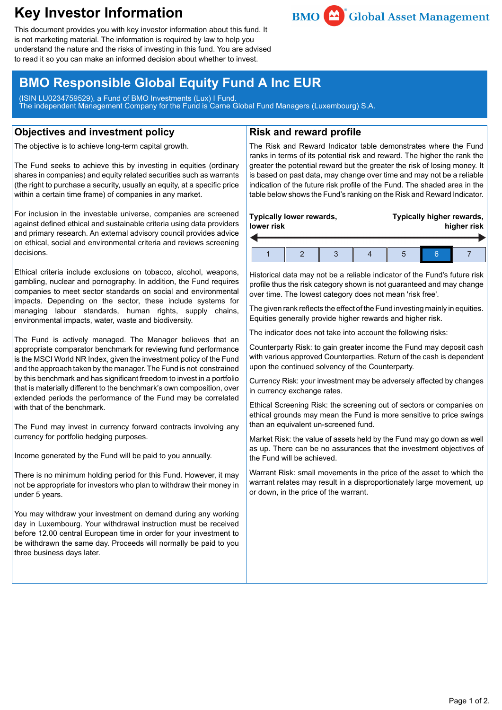# **Key Investor Information**



This document provides you with key investor information about this fund. It is not marketing material. The information is required by law to help you understand the nature and the risks of investing in this fund. You are advised to read it so you can make an informed decision about whether to invest.

## **BMO Responsible Global Equity Fund A Inc EUR**

(ISIN LU0234759529), a Fund of BMO Investments (Lux) I Fund. The independent Management Company for the Fund is Carne Global Fund Managers (Luxembourg) S.A.

### **Objectives and investment policy**

The objective is to achieve long-term capital growth.

The Fund seeks to achieve this by investing in equities (ordinary shares in companies) and equity related securities such as warrants (the right to purchase a security, usually an equity, at a specific price within a certain time frame) of companies in any market.

For inclusion in the investable universe, companies are screened against defined ethical and sustainable criteria using data providers and primary research. An external advisory council provides advice on ethical, social and environmental criteria and reviews screening decisions.

Ethical criteria include exclusions on tobacco, alcohol, weapons, gambling, nuclear and pornography. In addition, the Fund requires companies to meet sector standards on social and environmental impacts. Depending on the sector, these include systems for managing labour standards, human rights, supply chains, environmental impacts, water, waste and biodiversity.

The Fund is actively managed. The Manager believes that an appropriate comparator benchmark for reviewing fund performance is the MSCI World NR Index, given the investment policy of the Fund and the approach taken by the manager. The Fund is not constrained by this benchmark and has significant freedom to invest in a portfolio that is materially different to the benchmark's own composition, over extended periods the performance of the Fund may be correlated with that of the benchmark.

The Fund may invest in currency forward contracts involving any currency for portfolio hedging purposes.

Income generated by the Fund will be paid to you annually.

There is no minimum holding period for this Fund. However, it may not be appropriate for investors who plan to withdraw their money in under 5 years.

You may withdraw your investment on demand during any working day in Luxembourg. Your withdrawal instruction must be received before 12.00 central European time in order for your investment to be withdrawn the same day. Proceeds will normally be paid to you three business days later.

## **Risk and reward profile**

The Risk and Reward Indicator table demonstrates where the Fund ranks in terms of its potential risk and reward. The higher the rank the greater the potential reward but the greater the risk of losing money. It is based on past data, may change over time and may not be a reliable indication of the future risk profile of the Fund. The shaded area in the table below shows the Fund's ranking on the Risk and Reward Indicator.

| lower risk | Typically lower rewards, |  | Typically higher rewards,<br>higher risk |  |  |
|------------|--------------------------|--|------------------------------------------|--|--|
|            |                          |  | b                                        |  |  |

Historical data may not be a reliable indicator of the Fund's future risk profile thus the risk category shown is not guaranteed and may change over time. The lowest category does not mean 'risk free'.

The given rank reflects the effect of the Fund investing mainly in equities. Equities generally provide higher rewards and higher risk.

The indicator does not take into account the following risks:

Counterparty Risk: to gain greater income the Fund may deposit cash with various approved Counterparties. Return of the cash is dependent upon the continued solvency of the Counterparty.

Currency Risk: your investment may be adversely affected by changes in currency exchange rates.

Ethical Screening Risk: the screening out of sectors or companies on ethical grounds may mean the Fund is more sensitive to price swings than an equivalent un-screened fund.

Market Risk: the value of assets held by the Fund may go down as well as up. There can be no assurances that the investment objectives of the Fund will be achieved.

Warrant Risk: small movements in the price of the asset to which the warrant relates may result in a disproportionately large movement, up or down, in the price of the warrant.